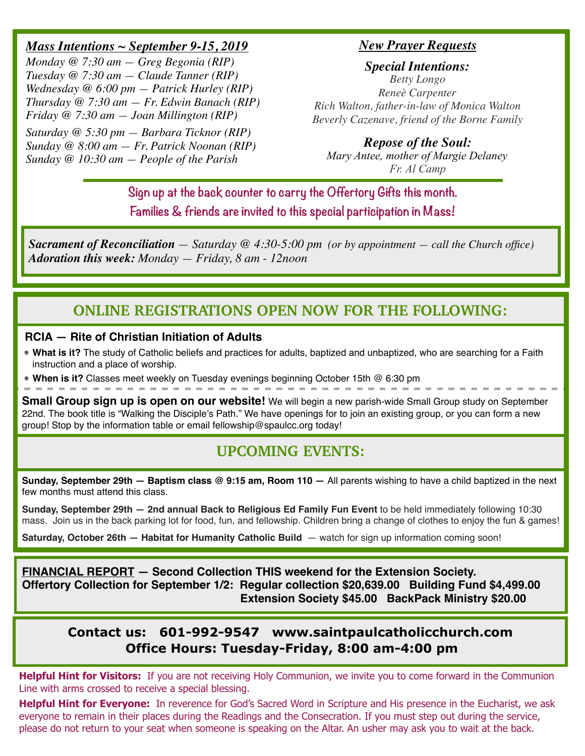### *Mass Intentions ~ September 9-15, 2019*

*Monday @ 7:30 am — Greg Begonia (RIP) Tuesday @ 7:30 am — Claude Tanner (RIP) Wednesday @ 6:00 pm — Patrick Hurley (RIP) Thursday @ 7:30 am — Fr. Edwin Banach (RIP) Friday @ 7:30 am — Joan Millington (RIP)*

*Saturday @ 5:30 pm — Barbara Ticknor (RIP) Sunday @ 8:00 am — Fr. Patrick Noonan (RIP) Sunday @ 10:30 am — People of the Parish*

#### *New Prayer Requests*

*Special Intentions: Betty Longo Reneè Carpenter Rich Walton, father-in-law of Monica Walton Beverly Cazenave, friend of the Borne Family*

# *Repose of the Soul:*

*Mary Antee, mother of Margie Delaney Fr. Al Camp*

**Sign up at the back counter to carry the Offertory Gifts this month. Families & friends are invited to this special participation in Mass!**

*Sacrament of Reconciliation — Saturday @ 4:30-5:00 pm (or by appointment — call the Church office) Adoration this week: Monday — Friday, 8 am - 12noon*

# **ONLINE REGISTRATIONS OPEN NOW FOR THE FOLLOWING:**

#### **RCIA — Rite of Christian Initiation of Adults**

**What is it?** The study of Catholic beliefs and practices for adults, baptized and unbaptized, who are searching for a Faith instruction and a place of worship.

**When is it?** Classes meet weekly on Tuesday evenings beginning October 15th @ 6:30 pm

**Small Group sign up is open on our website!** We will begin a new parish-wide Small Group study on September 22nd. The book title is "Walking the Disciple's Path." We have openings for to join an existing group, or you can form a new group! Stop by the information table or email fellowship@spaulcc.org today!

# **UPCOMING EVENTS:**

**Sunday, September 29th — Baptism class @ 9:15 am, Room 110 —** All parents wishing to have a child baptized in the next few months must attend this class.

**Sunday, September 29th — 2nd annual Back to Religious Ed Family Fun Event** to be held immediately following 10:30 mass. Join us in the back parking lot for food, fun, and fellowship. Children bring a change of clothes to enjoy the fun & games!

**Saturday, October 26th — Habitat for Humanity Catholic Build — watch for sign up information coming soon!** 

**FINANCIAL REPORT — Second Collection THIS weekend for the Extension Society. Offertory Collection for September 1/2: Regular collection \$20,639.00 Building Fund \$4,499.00 Extension Society \$45.00 BackPack Ministry \$20.00**

## **Contact us: 601-992-9547 www.saintpaulcatholicchurch.com Office Hours: Tuesday-Friday, 8:00 am-4:00 pm**

**Helpful Hint for Visitors:** If you are not receiving Holy Communion, we invite you to come forward in the Communion Line with arms crossed to receive a special blessing.

**Helpful Hint for Everyone:** In reverence for God's Sacred Word in Scripture and His presence in the Eucharist, we ask everyone to remain in their places during the Readings and the Consecration. If you must step out during the service, please do not return to your seat when someone is speaking on the Altar. An usher may ask you to wait at the back.